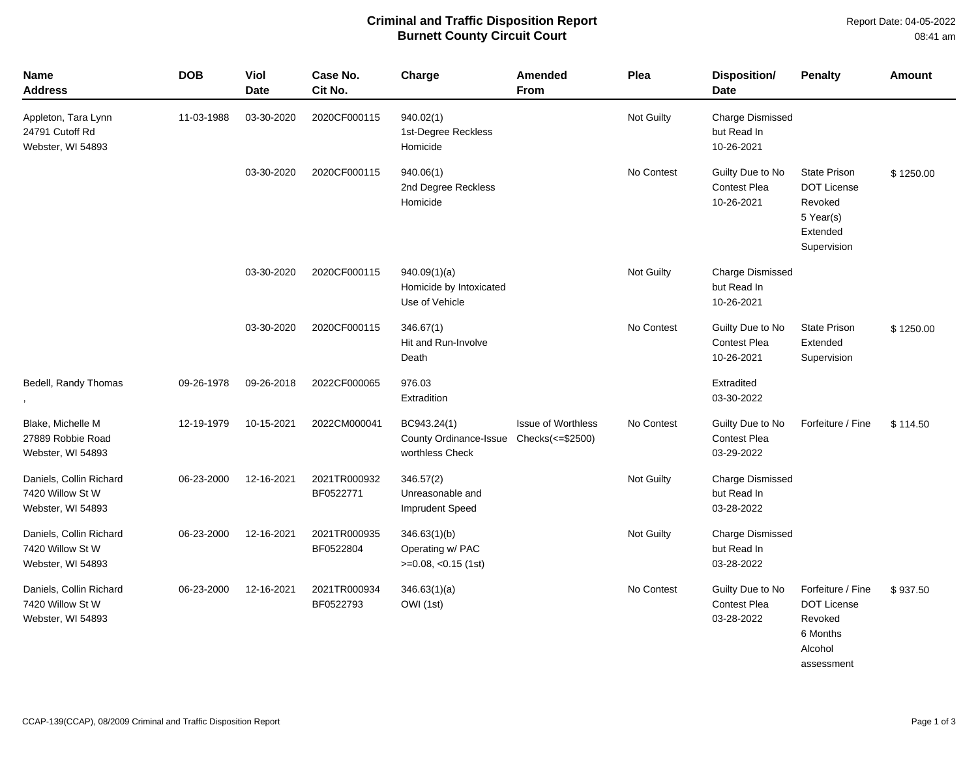## **Criminal and Traffic Disposition Report Burnett County Circuit Court**

Report Date: 04-05-2022  $0.0.44$ 

|  | 08:41 am |
|--|----------|
|  |          |

| <b>Name</b><br><b>Address</b>                                    | <b>DOB</b> | Viol<br><b>Date</b> | Case No.<br>Cit No.       | Charge                                                                    | Amended<br><b>From</b>    | Plea       | Disposition/<br><b>Date</b>                           | <b>Penalty</b>                                                                               | Amount    |
|------------------------------------------------------------------|------------|---------------------|---------------------------|---------------------------------------------------------------------------|---------------------------|------------|-------------------------------------------------------|----------------------------------------------------------------------------------------------|-----------|
| Appleton, Tara Lynn<br>24791 Cutoff Rd<br>Webster, WI 54893      | 11-03-1988 | 03-30-2020          | 2020CF000115              | 940.02(1)<br>1st-Degree Reckless<br>Homicide                              |                           | Not Guilty | <b>Charge Dismissed</b><br>but Read In<br>10-26-2021  |                                                                                              |           |
|                                                                  |            | 03-30-2020          | 2020CF000115              | 940.06(1)<br>2nd Degree Reckless<br>Homicide                              |                           | No Contest | Guilty Due to No<br>Contest Plea<br>10-26-2021        | <b>State Prison</b><br><b>DOT License</b><br>Revoked<br>5 Year(s)<br>Extended<br>Supervision | \$1250.00 |
|                                                                  |            | 03-30-2020          | 2020CF000115              | 940.09(1)(a)<br>Homicide by Intoxicated<br>Use of Vehicle                 |                           | Not Guilty | <b>Charge Dismissed</b><br>but Read In<br>10-26-2021  |                                                                                              |           |
|                                                                  |            | 03-30-2020          | 2020CF000115              | 346.67(1)<br>Hit and Run-Involve<br>Death                                 |                           | No Contest | Guilty Due to No<br><b>Contest Plea</b><br>10-26-2021 | <b>State Prison</b><br>Extended<br>Supervision                                               | \$1250.00 |
| Bedell, Randy Thomas                                             | 09-26-1978 | 09-26-2018          | 2022CF000065              | 976.03<br>Extradition                                                     |                           |            | Extradited<br>03-30-2022                              |                                                                                              |           |
| Blake, Michelle M<br>27889 Robbie Road<br>Webster, WI 54893      | 12-19-1979 | 10-15-2021          | 2022CM000041              | BC943.24(1)<br>County Ordinance-Issue Checks(<=\$2500)<br>worthless Check | <b>Issue of Worthless</b> | No Contest | Guilty Due to No<br><b>Contest Plea</b><br>03-29-2022 | Forfeiture / Fine                                                                            | \$114.50  |
| Daniels, Collin Richard<br>7420 Willow St W<br>Webster, WI 54893 | 06-23-2000 | 12-16-2021          | 2021TR000932<br>BF0522771 | 346.57(2)<br>Unreasonable and<br><b>Imprudent Speed</b>                   |                           | Not Guilty | <b>Charge Dismissed</b><br>but Read In<br>03-28-2022  |                                                                                              |           |
| Daniels, Collin Richard<br>7420 Willow St W<br>Webster, WI 54893 | 06-23-2000 | 12-16-2021          | 2021TR000935<br>BF0522804 | 346.63(1)(b)<br>Operating w/ PAC<br>$>=0.08, <0.15$ (1st)                 |                           | Not Guilty | <b>Charge Dismissed</b><br>but Read In<br>03-28-2022  |                                                                                              |           |
| Daniels, Collin Richard<br>7420 Willow St W<br>Webster, WI 54893 | 06-23-2000 | 12-16-2021          | 2021TR000934<br>BF0522793 | 346.63(1)(a)<br>OWI (1st)                                                 |                           | No Contest | Guilty Due to No<br><b>Contest Plea</b><br>03-28-2022 | Forfeiture / Fine<br><b>DOT License</b><br>Revoked<br>6 Months<br>Alcohol<br>assessment      | \$937.50  |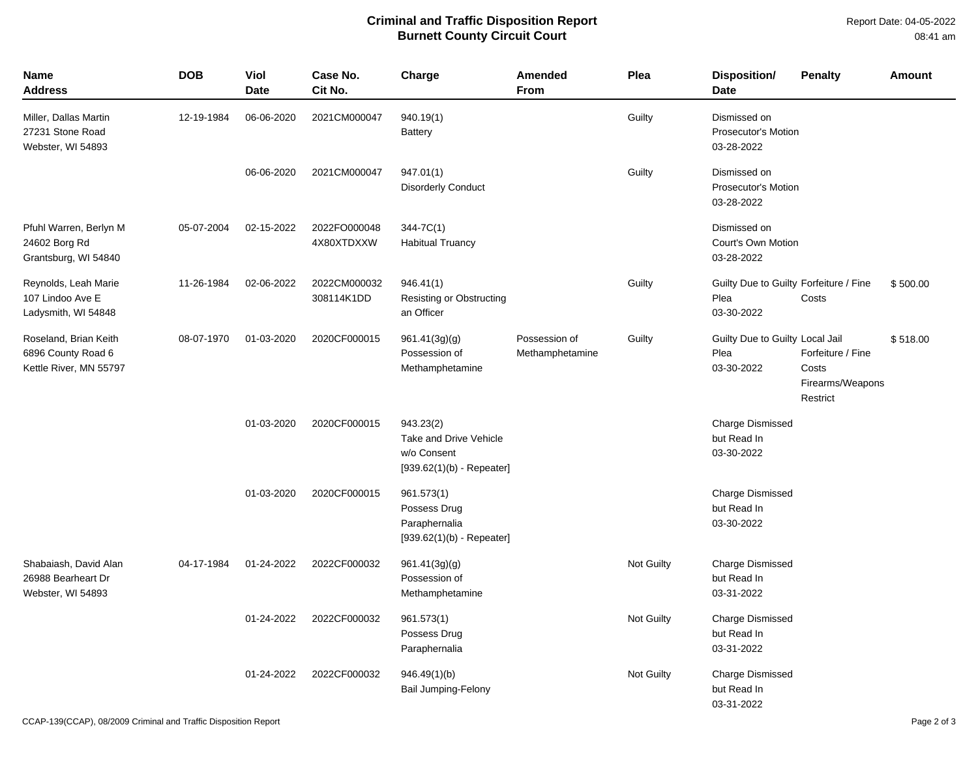## **Criminal and Traffic Disposition Report Burnett County Circuit Court**

| Name<br>Address                                                       | <b>DOB</b> | Viol<br><b>Date</b> | Case No.<br>Cit No.        | Charge                                                                            | Amended<br><b>From</b>           | Plea       | <b>Disposition/</b><br><b>Date</b>                           | <b>Penalty</b>                                             | <b>Amount</b> |
|-----------------------------------------------------------------------|------------|---------------------|----------------------------|-----------------------------------------------------------------------------------|----------------------------------|------------|--------------------------------------------------------------|------------------------------------------------------------|---------------|
| Miller, Dallas Martin<br>27231 Stone Road<br>Webster, WI 54893        | 12-19-1984 | 06-06-2020          | 2021CM000047               | 940.19(1)<br><b>Battery</b>                                                       |                                  | Guilty     | Dismissed on<br><b>Prosecutor's Motion</b><br>03-28-2022     |                                                            |               |
|                                                                       |            | 06-06-2020          | 2021CM000047               | 947.01(1)<br><b>Disorderly Conduct</b>                                            |                                  | Guilty     | Dismissed on<br><b>Prosecutor's Motion</b><br>03-28-2022     |                                                            |               |
| Pfuhl Warren, Berlyn M<br>24602 Borg Rd<br>Grantsburg, WI 54840       | 05-07-2004 | 02-15-2022          | 2022FO000048<br>4X80XTDXXW | $344 - 7C(1)$<br><b>Habitual Truancy</b>                                          |                                  |            | Dismissed on<br>Court's Own Motion<br>03-28-2022             |                                                            |               |
| Reynolds, Leah Marie<br>107 Lindoo Ave E<br>Ladysmith, WI 54848       | 11-26-1984 | 02-06-2022          | 2022CM000032<br>308114K1DD | 946.41(1)<br>Resisting or Obstructing<br>an Officer                               |                                  | Guilty     | Guilty Due to Guilty Forfeiture / Fine<br>Plea<br>03-30-2022 | Costs                                                      | \$500.00      |
| Roseland, Brian Keith<br>6896 County Road 6<br>Kettle River, MN 55797 | 08-07-1970 | 01-03-2020          | 2020CF000015               | 961.41(3g)(g)<br>Possession of<br>Methamphetamine                                 | Possession of<br>Methamphetamine | Guilty     | Guilty Due to Guilty Local Jail<br>Plea<br>03-30-2022        | Forfeiture / Fine<br>Costs<br>Firearms/Weapons<br>Restrict | \$518.00      |
|                                                                       |            | 01-03-2020          | 2020CF000015               | 943.23(2)<br>Take and Drive Vehicle<br>w/o Consent<br>$[939.62(1)(b) - Repeated]$ |                                  |            | Charge Dismissed<br>but Read In<br>03-30-2022                |                                                            |               |
|                                                                       |            | 01-03-2020          | 2020CF000015               | 961.573(1)<br>Possess Drug<br>Paraphernalia<br>$[939.62(1)(b) - Repeated]$        |                                  |            | Charge Dismissed<br>but Read In<br>03-30-2022                |                                                            |               |
| Shabaiash, David Alan<br>26988 Bearheart Dr<br>Webster, WI 54893      | 04-17-1984 | 01-24-2022          | 2022CF000032               | 961.41(3g)(g)<br>Possession of<br>Methamphetamine                                 |                                  | Not Guilty | Charge Dismissed<br>but Read In<br>03-31-2022                |                                                            |               |
|                                                                       |            | 01-24-2022          | 2022CF000032               | 961.573(1)<br>Possess Drug<br>Paraphernalia                                       |                                  | Not Guilty | <b>Charge Dismissed</b><br>but Read In<br>03-31-2022         |                                                            |               |
|                                                                       |            | 01-24-2022          | 2022CF000032               | 946.49(1)(b)<br><b>Bail Jumping-Felony</b>                                        |                                  | Not Guilty | <b>Charge Dismissed</b><br>but Read In<br>03-31-2022         |                                                            |               |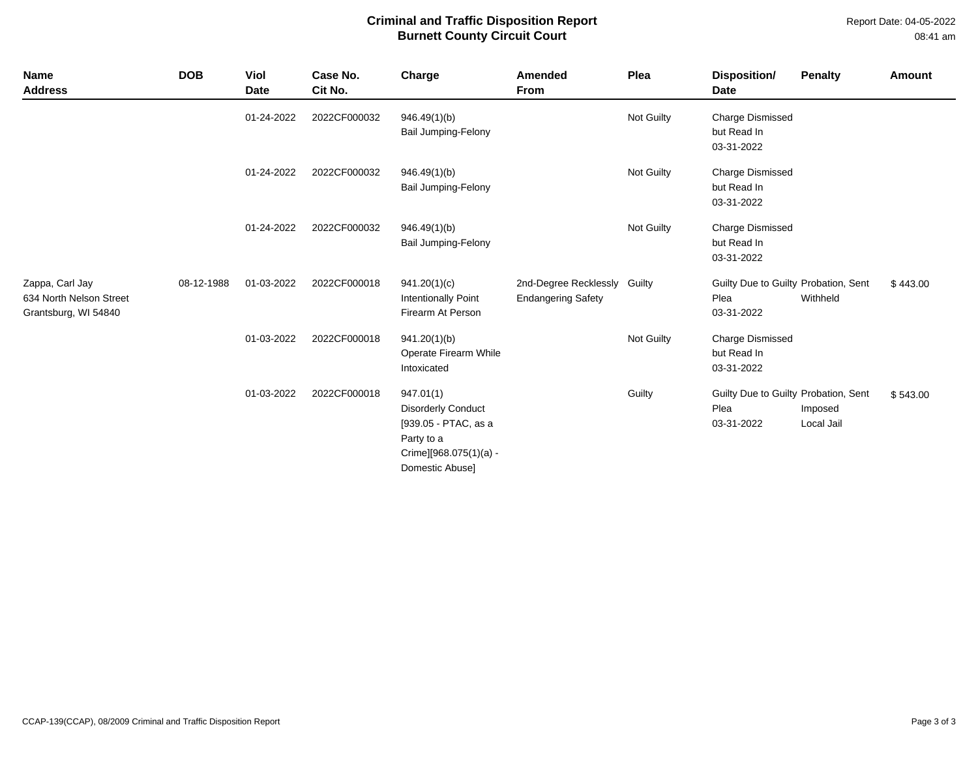Report Date: 04-05-2022 08:41 am

## **Criminal and Traffic Disposition Report Burnett County Circuit Court**

| Name<br><b>Address</b>                                             | <b>DOB</b> | Viol<br><b>Date</b> | Case No.<br>Cit No. | Charge                                                                                                                    | Amended<br>From                                    | Plea       | Disposition/<br><b>Date</b>                                | <b>Penalty</b>        | Amount   |
|--------------------------------------------------------------------|------------|---------------------|---------------------|---------------------------------------------------------------------------------------------------------------------------|----------------------------------------------------|------------|------------------------------------------------------------|-----------------------|----------|
|                                                                    |            | 01-24-2022          | 2022CF000032        | 946.49(1)(b)<br>Bail Jumping-Felony                                                                                       |                                                    | Not Guilty | <b>Charge Dismissed</b><br>but Read In<br>03-31-2022       |                       |          |
|                                                                    |            | 01-24-2022          | 2022CF000032        | 946.49(1)(b)<br><b>Bail Jumping-Felony</b>                                                                                |                                                    | Not Guilty | <b>Charge Dismissed</b><br>but Read In<br>03-31-2022       |                       |          |
|                                                                    |            | 01-24-2022          | 2022CF000032        | 946.49(1)(b)<br><b>Bail Jumping-Felony</b>                                                                                |                                                    | Not Guilty | <b>Charge Dismissed</b><br>but Read In<br>03-31-2022       |                       |          |
| Zappa, Carl Jay<br>634 North Nelson Street<br>Grantsburg, WI 54840 | 08-12-1988 | 01-03-2022          | 2022CF000018        | 941.20(1)(c)<br><b>Intentionally Point</b><br>Firearm At Person                                                           | 2nd-Degree Recklessly<br><b>Endangering Safety</b> | Guilty     | Guilty Due to Guilty Probation, Sent<br>Plea<br>03-31-2022 | Withheld              | \$443.00 |
|                                                                    |            | 01-03-2022          | 2022CF000018        | 941.20(1)(b)<br>Operate Firearm While<br>Intoxicated                                                                      |                                                    | Not Guilty | <b>Charge Dismissed</b><br>but Read In<br>03-31-2022       |                       |          |
|                                                                    |            | 01-03-2022          | 2022CF000018        | 947.01(1)<br><b>Disorderly Conduct</b><br>[939.05 - PTAC, as a<br>Party to a<br>Crime][968.075(1)(a) -<br>Domestic Abuse] |                                                    | Guilty     | Guilty Due to Guilty Probation, Sent<br>Plea<br>03-31-2022 | Imposed<br>Local Jail | \$543.00 |